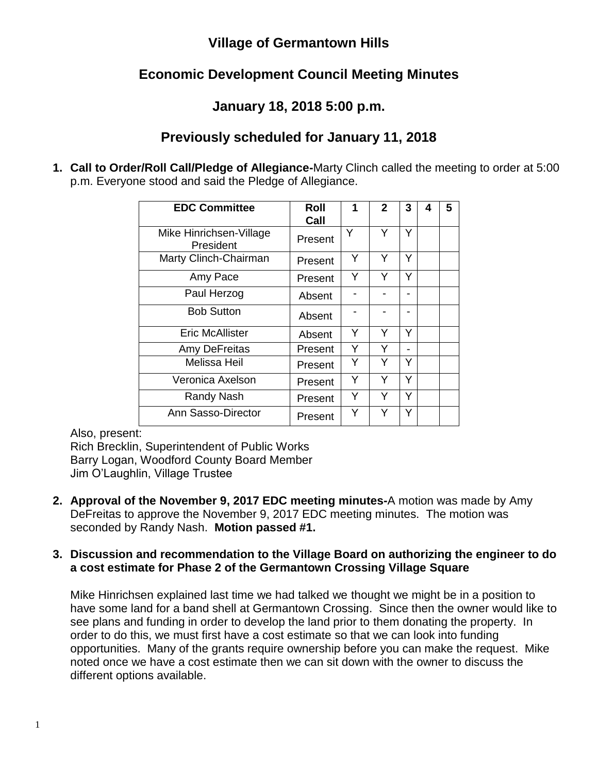## **Village of Germantown Hills**

# **Economic Development Council Meeting Minutes**

## **January 18, 2018 5:00 p.m.**

## **Previously scheduled for January 11, 2018**

**1. Call to Order/Roll Call/Pledge of Allegiance-**Marty Clinch called the meeting to order at 5:00 p.m. Everyone stood and said the Pledge of Allegiance.

| <b>EDC Committee</b>                 | Roll<br>Call | 1 | $\mathbf{2}$ | 3 | 4 | 5 |
|--------------------------------------|--------------|---|--------------|---|---|---|
| Mike Hinrichsen-Village<br>President | Present      | Y | Υ            | Y |   |   |
| Marty Clinch-Chairman                | Present      | Y | Y            | Y |   |   |
| Amy Pace                             | Present      | Y | Y            | Y |   |   |
| Paul Herzog                          | Absent       |   |              |   |   |   |
| <b>Bob Sutton</b>                    | Absent       |   |              |   |   |   |
| <b>Eric McAllister</b>               | Absent       | Y | Y            | Y |   |   |
| Amy DeFreitas                        | Present      | Y | Y            |   |   |   |
| Melissa Heil                         | Present      | Y | Y            | Y |   |   |
| Veronica Axelson                     | Present      | Y | Y            | Y |   |   |
| Randy Nash                           | Present      | Y | Y            | Y |   |   |
| Ann Sasso-Director                   | Present      | Y | Υ            | Y |   |   |

Also, present:

Rich Brecklin, Superintendent of Public Works Barry Logan, Woodford County Board Member Jim O'Laughlin, Village Trustee

**2. Approval of the November 9, 2017 EDC meeting minutes-**A motion was made by Amy DeFreitas to approve the November 9, 2017 EDC meeting minutes. The motion was seconded by Randy Nash. **Motion passed #1.**

### **3. Discussion and recommendation to the Village Board on authorizing the engineer to do a cost estimate for Phase 2 of the Germantown Crossing Village Square**

Mike Hinrichsen explained last time we had talked we thought we might be in a position to have some land for a band shell at Germantown Crossing. Since then the owner would like to see plans and funding in order to develop the land prior to them donating the property. In order to do this, we must first have a cost estimate so that we can look into funding opportunities. Many of the grants require ownership before you can make the request. Mike noted once we have a cost estimate then we can sit down with the owner to discuss the different options available.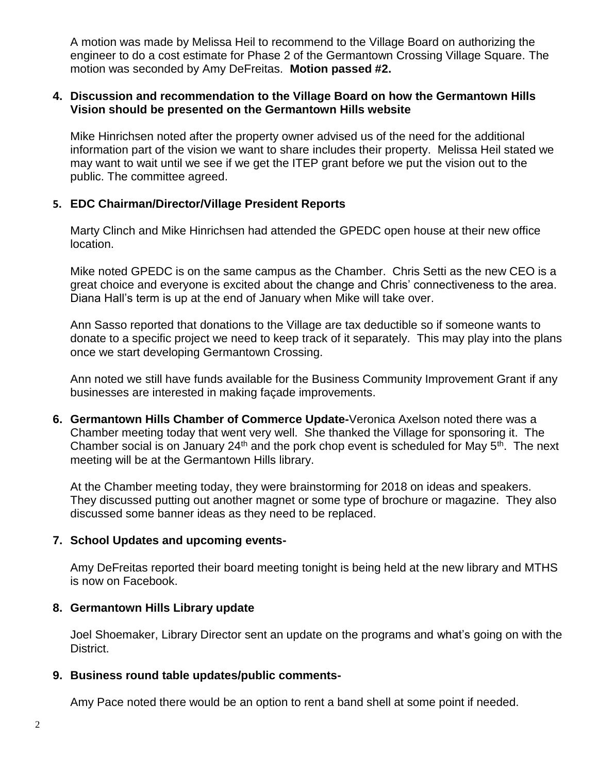A motion was made by Melissa Heil to recommend to the Village Board on authorizing the engineer to do a cost estimate for Phase 2 of the Germantown Crossing Village Square. The motion was seconded by Amy DeFreitas. **Motion passed #2.**

#### **4. Discussion and recommendation to the Village Board on how the Germantown Hills Vision should be presented on the Germantown Hills website**

Mike Hinrichsen noted after the property owner advised us of the need for the additional information part of the vision we want to share includes their property. Melissa Heil stated we may want to wait until we see if we get the ITEP grant before we put the vision out to the public. The committee agreed.

### **5. EDC Chairman/Director/Village President Reports**

Marty Clinch and Mike Hinrichsen had attended the GPEDC open house at their new office location.

Mike noted GPEDC is on the same campus as the Chamber. Chris Setti as the new CEO is a great choice and everyone is excited about the change and Chris' connectiveness to the area. Diana Hall's term is up at the end of January when Mike will take over.

Ann Sasso reported that donations to the Village are tax deductible so if someone wants to donate to a specific project we need to keep track of it separately. This may play into the plans once we start developing Germantown Crossing.

Ann noted we still have funds available for the Business Community Improvement Grant if any businesses are interested in making façade improvements.

**6. Germantown Hills Chamber of Commerce Update-**Veronica Axelson noted there was a Chamber meeting today that went very well. She thanked the Village for sponsoring it. The Chamber social is on January 24<sup>th</sup> and the pork chop event is scheduled for May  $5<sup>th</sup>$ . The next meeting will be at the Germantown Hills library.

At the Chamber meeting today, they were brainstorming for 2018 on ideas and speakers. They discussed putting out another magnet or some type of brochure or magazine. They also discussed some banner ideas as they need to be replaced.

#### **7. School Updates and upcoming events-**

Amy DeFreitas reported their board meeting tonight is being held at the new library and MTHS is now on Facebook.

#### **8. Germantown Hills Library update**

Joel Shoemaker, Library Director sent an update on the programs and what's going on with the District.

#### **9. Business round table updates/public comments-**

Amy Pace noted there would be an option to rent a band shell at some point if needed.